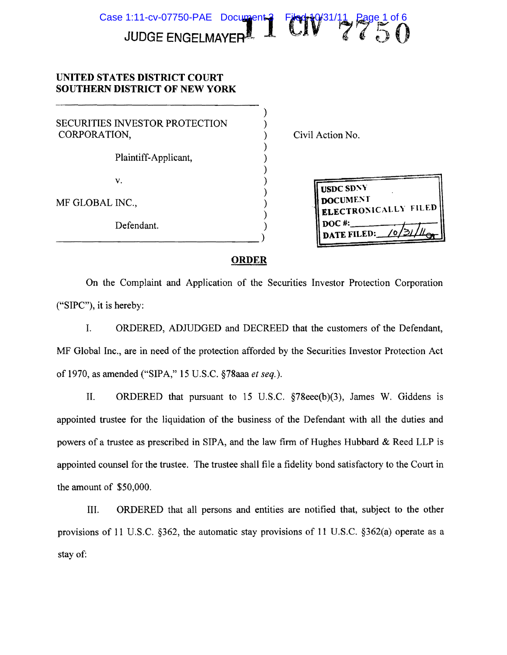

)

) ) ) ) ) ) ) ) ) ) )

)

)

)

)

## UNITED STATES DISTRICT COURT **UNITED STATES DISTRICT COURT** SOUTHERN DISTRICT OF NEW YORK **SOUTHERN DISTRICT OF NEW YORK**

SECURITIES INVESTOR PROTECTION ) SECURITIES INVESTOR PROTECTION CORPORATION, ) Civil Action No. CORPORATION,

Plaintiff-Applicant, ) Plaintiff-Applicant,

--------------------------------)

v.  $\qquad \qquad$  ) v.

MF GLOBAL INC., ) MF GLOBAL INC.,

Defendant. ) Defendant. Defendant.

Civil Action No.

USDC SDNY DOCUMENT – ELECTROiSlCALLY FILED DOC #:-----I--r- **ELECTROiSlCALLY FILED DOC** #:-----f--r-- **DATE FILED:** <u>/o/3///l<sub>or</sub></u>

## ORDER **ORDER**

On the Complaint and Application of the Securities Investor Protection Corporation On the Complaint and Application of the Securities Investor Protection Corporation ("SIPC"), it is hereby: ("SIPC"), it is hereby:

I. ORDERED, ADJUDGED and DECREED that the customers of the Defendant, I. ORDERED, ADJUDGED and DECREED that the customers of the Defendant, MF Global Inc., are in need of the protection afforded by the Securities Investor Protection Act MF Global Inc., are in need of the protection afforded by the Securities Investor Protection Act of 1970, as amended ("SIPA," 15 U.S.C. §78aaa *et seq.).*  of 1970, as amended ("SIPA," 15 U.S.C. §78aaa *et seq.).*

II. ORDERED that pursuant to 15 U.S.C. §78eee(b)(3), James W. Giddens is II. ORDERED that pursuant to 15 U.S.C. §78eee(b)(3), James W. Giddens is appointed trustee for the liquidation of the business of the Defendant with all the duties and appointed trustee for the liquidation of the business of the Defendant with all the duties and powers of a trustee as prescribed in SIPA, and the law firm of Hughes Hubbard & Reed LLP is appointed counsel for the trustee. The trustee shall file a fidelity bond satisfactory to the Court in appointed counsel for the trustee. The trustee shall file a fidelity bond satisfactory to the Court in the amount of \$50,000. the amount of \$50,000.

III. ORDERED that all persons and entities are notified that, subject to the other III. ORDERED that all persons and entities are notified that, subject to the other provisions of 11 U.S.C. §362, the automatic stay provisions of 11 U.S.C. §362(a) operate as a provisions of **<sup>11</sup>** U.S.C. §362, the automatic stay provisions of 11 U.S.C. §362(a) operate as a stay of: stay of: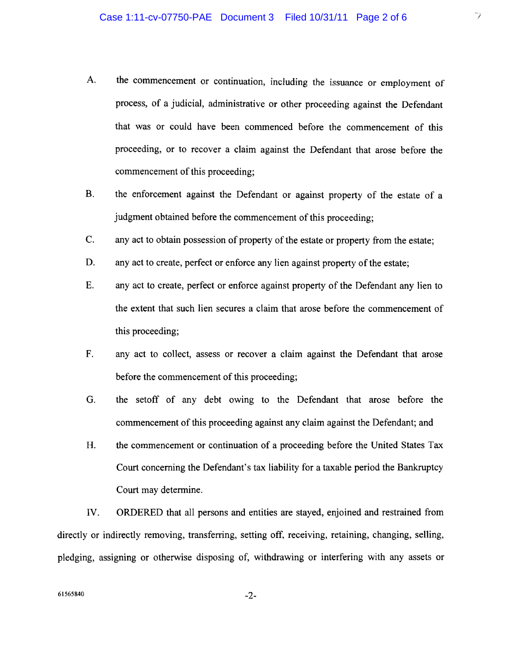- A. the commencement or continuation, including the issuance or employment of A. the commencement or continuation, including the issuance or employment of process, of a judicial, administrative or other proceeding against the Defendant process, of a judicial, administrative or other proceeding against the Defendant that was or could have been commenced before the commencement of this that was or could have been commenced before the commencement of this proceeding, or to recover a claim against the Defendant that arose before the proceeding, or to recover a claim against the Defendant that arose before the commencement of this proceeding;
- B. the enforcement against the Defendant or against property of the estate of a B. the enforcement against the Defendant or against property of the estate of a judgment obtained before the commencement of this proceeding;
- C. any act to obtain possession of property of the estate or property from the estate; C. any act to obtain possession of property ofthe estate or property from the estate;
- D. any act to create, perfect or enforce any lien against property of the estate;
- E. any act to create, perfect or enforce against property of the Defendant any lien to E. any act to create, perfect or enforce against property of the Defendant any lien to the extent that such lien secures a claim that arose before the commencement of the extent that such lien secures a claim that arose before the commencement of this proceeding; this proceeding;
- F. any act to collect, assess or recover a claim against the Defendant that arose F. any act to collect, assess or recover a claim against the Defendant that arose before the commencement of this proceeding;
- G. the setoff of any debt owing to the Defendant that arose before the G. the setoff of any debt owing to the Defendant that arose before the commencement of this proceeding against any claim against the Defendant; and
- H. the commencement or continuation of a proceeding before the United States Tax H. the commencement or continuation of a proceeding before the United States Tax Court concerning the Defendant's tax liability for a taxable period the Bankruptcy Court concerning the Defendant's tax liability for a taxable period the Bankruptcy Court may determine. Court may determine.

IV. ORDERED that all persons and entities are stayed, enjoined and restrained from IV. ORDERED that all persons and entities are stayed, enjoined and restrained from directly or indirectly removing, transferring, setting off, receiving, retaining, changing, selling, directly or indirectly removing, transferring, setting off, receiving, retaining, changing, selling, pledging, assigning or otherwise disposing of, withdrawing or interfering with any assets or pledging, assigning or otherwise disposing of, withdrawing or interfering with any assets or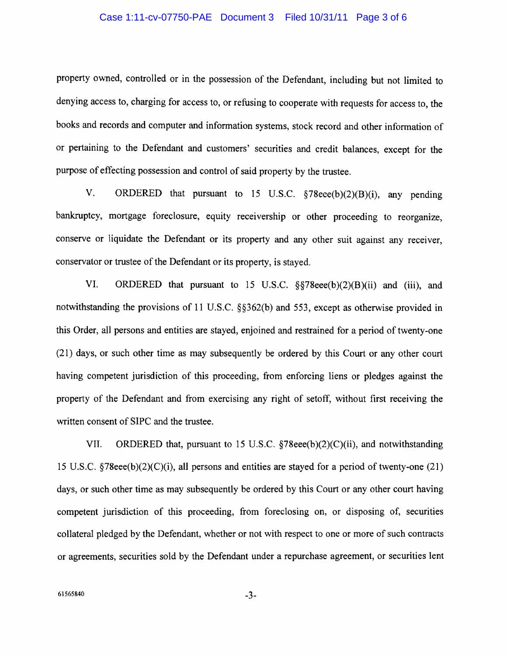#### Case 1:11-cv-07750-PAE Document 3 Filed 10/31/11 Page 3 of 6

property owned, controlled or in the possession of the Defendant, including but not limited to property owned, controlled or in the possession of the Defendant, including but not limited to denying access to, charging for access to, or refusing to cooperate with requests for access to, the denying access to, charging for access to, or refusing to cooperate with requests for access to, the books and records and computer and information systems, stock record and other information of books and records and computer and information systems, stock record and other information of or pertaining to the Defendant and customers' securities and credit balances, except for the or pertaining to the Defendant and customers' securities and credit balances, except for the purpose of effecting possession and control of said property by the trustee.

V. ORDERED that pursuant to 15 U.S.C. §78eee(b)(2)(B)(i), any pending V. ORDERED that pursuant to 15 U.S.C. §78eee(b)(2)(B)(i), any pending bankruptcy, mortgage foreclosure, equity receivership or other proceeding to reorganize, bankruptcy, mortgage foreclosure, equity receivership or other proceeding to reorganize, conserve or liquidate the Defendant or its property and any other suit against any receiver, conserve or liquidate the Defendant or its property and any other suit against any receiver, conservator or trustee of the Defendant or its property, is stayed.

VI. ORDERED that pursuant to 15 U.S.c. §§78eee(b)(2)(B)(ii) and (iii), and VI. ORDERED that pursuant to 15 U.S.C. §§78eee(b)(2)(B)(ii) and (iii), and notwithstanding the provisions of II U.S.C. §§362(b) and 553, except as otherwise provided in notwithstanding the provisions of 11 U.S.C. §§362(b) and 553, except as otherwise provided in this Order, all persons and entities are stayed, enjoined and restrained for a period of twenty-one this Order, all persons and entities are stayed, enjoined and restrained for a period oftwenty-one (21) days, or such other time as may subsequently be ordered by this Court or any other court (21) days, or such other time as may subsequently be ordered by this Court or any other court having competent jurisdiction of this proceeding, from enforcing liens or pledges against the having competent jurisdiction of this proceeding, from enforcing liens or pledges against the property of the Defendant and from exercising any right of setoff, without first receiving the property of the Defendant and from exercising any right of setoff, without first receiving the written consent of SIPC and the trustee. written consent of SIPC and the trustee.

VII. ORDERED that, pursuant to 15 U.S.C. §78eee(b)(2)(C)(ii), and notwithstanding VII. ORDERED that, pursuant to 15 U.S.C. §78eee(b)(2)(C)(ii), and notwithstanding 15 U.S.C. §78eee(b)(2)(C)(i), all persons and entities are stayed for a period of twenty-one (21) 15 U.S.C. §78eee(b)(2)(C)(i), all persons and entities are stayed for a period of twenty-one (21) days, or such other time as may subsequently be ordered by this Court or any other court having days, or such other time as may subsequently be ordered by this Court or any other court having competent jurisdiction of this proceeding, from foreclosing on, or disposing of, securities competent jurisdiction of this proceeding, from foreclosing on, or disposing of, securities collateral pledged by the Defendant, whether or not with respect to one or more of such contracts collateral pledged by the Defendant, whether or not with respect to one or more of such contracts or agreements, securities sold by the Defendant under a repurchase agreement, or securities lent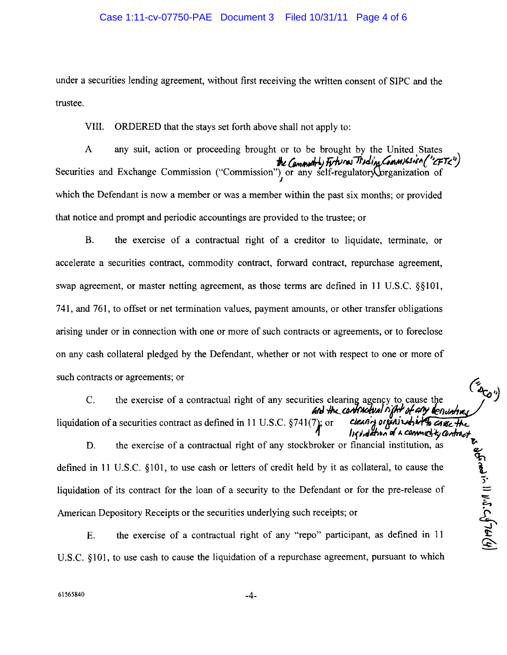#### Case 1:11-cv-07750-PAE Document 3 Filed 10/31/11 Page 4 of 6

under a securities lending agreement, without first receiving the written consent of SIPC and the under a securities lending agreement, without first receiving the written consent of SIPC and the trustee. trustee.

VIII. ORDERED that the stays set forth above shall not apply to: VIII. ORDERED that the stays set forth above shall not apply to:

A any suit, action or proceeding brought or to be brought by the United States A any suit, action or proceeding brought or to be brought by the United States the Commotity Futures Trading Commission ("CFT<") Securities and Exchange Commission ("Commission") or any self-regulatory prganization of which the Defendant is now a member or was a member within the past six months; or provided which the Defendant is now a member or was a member within the past six months; or provided that notice and prompt and periodic accountings are provided to the trustee; or that notice and prompt and periodic accountings are provided to the trustee; or or to be brought by the United States<br>the Commonly Futures Theoli<sub>cs</sub> Commission ("CFTC") Securities and Exchange Commission ("Commission") or any self-regulatory or any and Exchange Commission ("Commission") or any self-regulatory or any self-

B. the exercise of a contractual right of a creditor to liquidate, terminate, or B. the exercise of a contractual right of a creditor to liquidate, terminate, or accelerate a securities contract, commodity contract, forward contract, repurchase agreement, accelerate a securities contract, commodity contract, forward contract, repurchase agreement, swap agreement, or master netting agreement, as those terms are defined in 11 U.S.C. §§101, 741, and 761, to offset or net termination values, payment amounts, or other transfer obligations 741, and 761, to offset or net termination values, payment amounts, or other transfer obligations arising under or in connection with one or more of such contracts or agreements, or to foreclose arising under or in connection with one or more of such contracts or agreements, or to foreclose on any cash collateral pledged by the Defendant, whether or not with respect to one or more of such contracts or agreements; or  $\sim$ such contracts or agreements; or

C. the exercise of a contractual right of any securities clearing agency to cause the *AN* -Ik.J.M/('~AII';1'1'of~ **Ief1Vhh**  *AN* -Ik.-f.M/('~AII';11' of~ *IeI1Vhh* liquidation of a securities contract as defined in 11 U.S.C.  $\S741(7)$ ; or clearly organized in the case the C.

t~

t~

 $\Phi$ 

**.**<br>.

 $\frac{1}{2}$  is  $\frac{1}{2}$ 

1 *II find then* of a commetity contract D. the exercise of a contractual right of any stockbroker or financial institution, as  $\mathcal{L}_{\mathcal{L}}$ defined in 11 U.S.C. §101, to use cash or letters of credit held by it as collateral, to cause the liquidation of its contract for the loan of a security to the Defendant or for the pre-release of  $\equiv$ American Depository Receipts or the securities underlying such receipts; or American Depository Receipts or the securities underlying such receipts; or **II hf11dlh"" "** "C/Hwt1rd~(j..,J".e-t

E. the exercise of a contractual right of any "repo" participant, as defined in 11 E. the exercise of a contractual right of any "repo" participant, as defined in 11 U.S.c. §lOI, to use cash to cause the liquidation of a repurchase agreement, pursuant to which U.S.c. §101, to use cash to cause the liquidation of a repurchase agreement, pursuant to which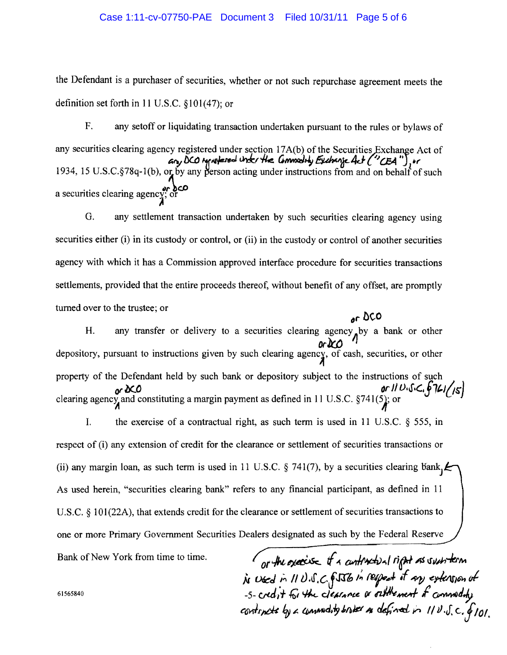## Case 1:11-cv-07750-PAE Document 3 Filed 10/31/11 Page 5 of 6

the Defendant is a purchaser of securities, whether or not such repurchase agreement meets the the Defendant is a purchaser of securities, whether or not such repurchase agreement meets the definition set forth in II U.S.C. § 101 (47); or definition set forth in 11 U.S.C. §101 (47); or

F. any setoff or liquidating transaction undertaken pursuant to the rules or bylaws of F. any setoff or liquidating transaction undertaken pursuant to the rules or bylaws of any securities clearing agency registered under section 17A(b) of the Securities Exchange Act of any DCO ignotened unter the Commodity Exchange act ("CEA"), or 1934, 15 U.S.C.§78q-1(b), or by any person acting under instructions from and on behalf of such 1934, 15 U.S.C.§78q-1(b), or by<br>a securities clearing agency; or ;4 any securities clearing agency registered under section 17A(b) of the Securities Exchange Act of  $a_{\gamma}$ , DCO ignotered unter the Commodity Exchange at  $($  "CEA"), or 1934, 15 U.S.C.§78q-1(b), or by any person acting under instructions from and on behalf of such 1934, 15 U.S.C.  $\frac{8}{9}$  /8q-1(b), or by<br>a securities clearing agency; or ;4

G. any settlement transaction undertaken by such securities clearing agency using G. any settlement transaction undertaken by such securities clearing agency using securities either (i) in its custody or control, or (ii) in the custody or control of another securities agency with which it has a Commission approved interface procedure for securities transactions agency with which it has a Commission approved interface procedure for securities transactions settlements, provided that the entire proceeds thereof, without benefit of any offset, are promptly settlements, provided that the entire proceeds thereof, without benefit of any offset, are promptly turned over to the trustee; or turned over to the trustee; or *(Jf' be-o (Jf' be-o*

H. any transfer or delivery to a securities clearing agency by a bank or other *OrIK:tJ*  depository, pursuant to instructions given by such clearing agency, of cash, securities, or other property of the Defendant held by such bank or depository subject to the instructions of such property of the Defendant held by such bank or depository subject to the instructions of such **or DCO** *or II U,J,C,j,B,ILI/IS* or *or SCO* **or CO IV** U<sub>15</sub> (15)<br>clearing agency and constituting a margin payment as defined in 11 U.S.C. §741(5); or H. *arlr.tJ* depository, pursuant to instructions given by such clearing agency, of cash, securities, or other

I. the exercise of a contractual right, as such term is used in 11 U.S.C.  $\S$  555, in respect of (i) any extension of credit for the clearance or settlement of securities transactions or (ii) any margin loan, as such term is used in 11 U.S.C. § 741(7), by a securities clearing bank<sub>J</sub> $\ell$ As used herein, "securities clearing bank" refers to any financial participant, as defined in 11 As used herein, "securities clearing bank" refers to any financial participant, as defined in 11 U.S.C. § 101(22A), that extends credit for the clearance or settlement of securities transactions to one or more Primary Government Securities Dealers designated as such by the Federal Reserve Bank of New York from time to time.

Bank of New York from time to time.  $\int_{\partial f}$ the *oxecuse* if a *curlivation* light as such term  $\dot{\mu}$  wed in 11 U.S.C. fJJb in respect it my extension of -5- credit for the clearance or oatthement of commodity continuts by a commodity broker as defined in 11  $\nu$ .J. c. 6101. or the *oxac*ise of a *curtmetral* right as substem  $\dot{\mu}$  Used in 11 U.S.C. fJJ6 in respect it any extension of -5-credit for the clearance or outthement of commodity continuts by a commodity broker as defined in  $119.5$  c.  $6101$ 

61565840 61565840